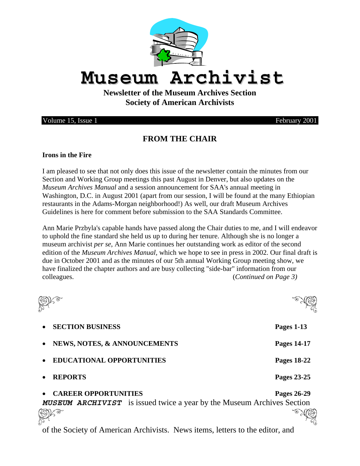

# **Museum Archivist**

## **Newsletter of the Museum Archives Section Society of American Archivists**

Volume 15, Issue 1 February 2001

## **FROM THE CHAIR**

#### **Irons in the Fire**

I am pleased to see that not only does this issue of the newsletter contain the minutes from our Section and Working Group meetings this past August in Denver, but also updates on the *Museum Archives Manual* and a session announcement for SAA's annual meeting in Washington, D.C. in August 2001 (apart from our session, I will be found at the many Ethiopian restaurants in the Adams-Morgan neighborhood!) As well, our draft Museum Archives Guidelines is here for comment before submission to the SAA Standards Committee.

Ann Marie Przbyla's capable hands have passed along the Chair duties to me, and I will endeavor to uphold the fine standard she held us up to during her tenure. Although she is no longer a museum archivist *per se*, Ann Marie continues her outstanding work as editor of the second edition of the *Museum Archives Manual,* which we hope to see in press in 2002. Our final draft is due in October 2001 and as the minutes of our 5th annual Working Group meeting show, we have finalized the chapter authors and are busy collecting "side-bar" information from our colleagues. (*Continued on Page 3)* 



- **SECTION BUSINESS Pages 1-13**
- **NEWS, NOTES, & ANNOUNCEMENTS Pages 14-17**
- **EDUCATIONAL OPPORTUNITIES Pages 18-22**
- 

### • **CAREER OPPORTUNITIES Pages 26-29**

**MUSEUM ARCHIVIST** is issued twice a year by the Museum Archives Section<br> **SIGN** 

of the Society of American Archivists. News items, letters to the editor, and

• **REPORTS Pages 23-25** 

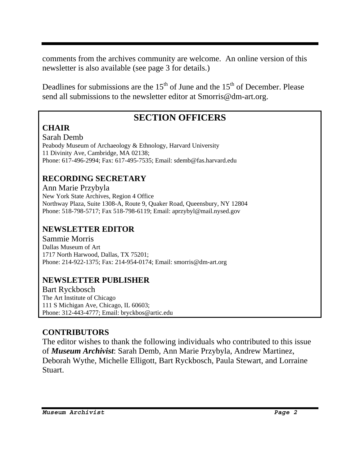comments from the archives community are welcome. An online version of this newsletter is also available (see page 3 for details.)

Deadlines for submissions are the  $15<sup>th</sup>$  of June and the  $15<sup>th</sup>$  of December. Please send all submissions to the newsletter editor at Smorris@dm-art.org.

## **SECTION OFFICERS**

## **CHAIR**

Sarah Demb Peabody Museum of Archaeology & Ethnology, Harvard University 11 Divinity Ave, Cambridge, MA 02138; Phone: 617-496-2994; Fax: 617-495-7535; Email: sdemb@fas.harvard.edu

## **RECORDING SECRETARY**

Ann Marie Przybyla New York State Archives, Region 4 Office Northway Plaza, Suite 1308-A, Route 9, Quaker Road, Queensbury, NY 12804 Phone: 518-798-5717; Fax 518-798-6119; Email: aprzybyl@mail.nysed.gov

## **NEWSLETTER EDITOR**

Sammie Morris Dallas Museum of Art 1717 North Harwood, Dallas, TX 75201; Phone: 214-922-1375; Fax: 214-954-0174; Email: smorris@dm-art.org

## **NEWSLETTER PUBLISHER**

Bart Ryckbosch The Art Institute of Chicago 111 S Michigan Ave, Chicago, IL 60603; Phone: 312-443-4777; Email: bryckbos@artic.edu

## **CONTRIBUTORS**

The editor wishes to thank the following individuals who contributed to this issue of *Museum Archivist*: Sarah Demb, Ann Marie Przybyla, Andrew Martinez, Deborah Wythe, Michelle Elligott, Bart Ryckbosch, Paula Stewart, and Lorraine Stuart.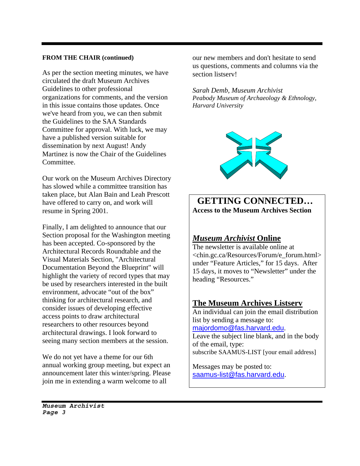#### **FROM THE CHAIR (continued)**

As per the section meeting minutes, we have circulated the draft Museum Archives Guidelines to other professional organizations for comments, and the version in this issue contains those updates. Once we've heard from you, we can then submit the Guidelines to the SAA Standards Committee for approval. With luck, we may have a published version suitable for dissemination by next August! Andy Martinez is now the Chair of the Guidelines Committee.

Our work on the Museum Archives Directory has slowed while a committee transition has taken place, but Alan Bain and Leah Prescott have offered to carry on, and work will resume in Spring 2001.

Finally, I am delighted to announce that our Section proposal for the Washington meeting has been accepted. Co-sponsored by the Architectural Records Roundtable and the Visual Materials Section, "Architectural Documentation Beyond the Blueprint" will highlight the variety of record types that may be used by researchers interested in the built environment, advocate "out of the box" thinking for architectural research, and consider issues of developing effective access points to draw architectural researchers to other resources beyond architectural drawings. I look forward to seeing many section members at the session.

We do not yet have a theme for our 6th annual working group meeting, but expect an announcement later this winter/spring. Please join me in extending a warm welcome to all

our new members and don't hesitate to send us questions, comments and columns via the section listserv!

*Sarah Demb, Museum Archivist Peabody Museum of Archaeology & Ethnology, Harvard University* 



## **GETTING CONNECTED… Access to the Museum Archives Section**

### *Museum Archivist* **Online**

The newsletter is available online at <chin.gc.ca/Resources/Forum/e\_forum.html> under "Feature Articles," for 15 days. After 15 days, it moves to "Newsletter" under the heading "Resources."

#### **The Museum Archives Listserv**

An individual can join the email distribution list by sending a message to: majordomo@fas.harvard.edu. Leave the subject line blank, and in the body of the email, type: subscribe SAAMUS-LIST [your email address]

Messages may be posted to: saamus-list@fas.harvard.edu.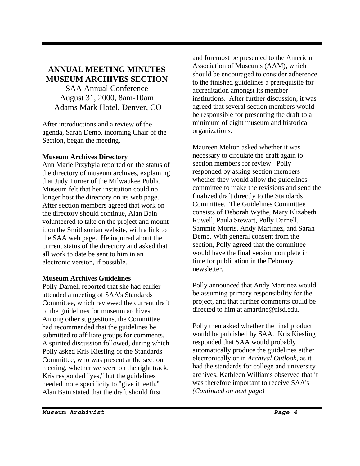#### **ANNUAL MEETING MINUTES MUSEUM ARCHIVES SECTION**  SAA Annual Conference

August 31, 2000, 8am-10am Adams Mark Hotel, Denver, CO

After introductions and a review of the agenda, Sarah Demb, incoming Chair of the Section, began the meeting.

#### **Museum Archives Directory**

Ann Marie Przybyla reported on the status of the directory of museum archives, explaining that Judy Turner of the Milwaukee Public Museum felt that her institution could no longer host the directory on its web page. After section members agreed that work on the directory should continue, Alan Bain volunteered to take on the project and mount it on the Smithsonian website, with a link to the SAA web page. He inquired about the current status of the directory and asked that all work to date be sent to him in an electronic version, if possible.

#### **Museum Archives Guidelines**

Polly Darnell reported that she had earlier attended a meeting of SAA's Standards Committee, which reviewed the current draft of the guidelines for museum archives. Among other suggestions, the Committee had recommended that the guidelines be submitted to affiliate groups for comments. A spirited discussion followed, during which Polly asked Kris Kiesling of the Standards Committee, who was present at the section meeting, whether we were on the right track. Kris responded "yes," but the guidelines needed more specificity to "give it teeth." Alan Bain stated that the draft should first

and foremost be presented to the American Association of Museums (AAM), which should be encouraged to consider adherence to the finished guidelines a prerequisite for accreditation amongst its member institutions. After further discussion, it was agreed that several section members would be responsible for presenting the draft to a minimum of eight museum and historical organizations.

Maureen Melton asked whether it was necessary to circulate the draft again to section members for review. Polly responded by asking section members whether they would allow the guidelines committee to make the revisions and send the finalized draft directly to the Standards Committee. The Guidelines Committee consists of Deborah Wythe, Mary Elizabeth Ruwell, Paula Stewart, Polly Darnell, Sammie Morris, Andy Martinez, and Sarah Demb. With general consent from the section, Polly agreed that the committee would have the final version complete in time for publication in the February newsletter.

Polly announced that Andy Martinez would be assuming primary responsibility for the project, and that further comments could be directed to him at amartine@risd.edu.

Polly then asked whether the final product would be published by SAA. Kris Kiesling responded that SAA would probably automatically produce the guidelines either electronically or in *Archival Outlook*, as it had the standards for college and university archives. Kathleen Williams observed that it was therefore important to receive SAA's *(Continued on next page)*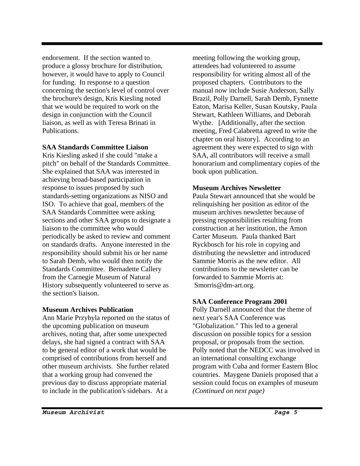endorsement. If the section wanted to produce a glossy brochure for distribution, however, it would have to apply to Council for funding. In response to a question concerning the section's level of control over the brochure's design, Kris Kiesling noted that we would be required to work on the design in conjunction with the Council liaison, as well as with Teresa Brinati in **Publications** 

#### **SAA Standards Committee Liaison**

Kris Kiesling asked if she could "make a pitch" on behalf of the Standards Committee. She explained that SAA was interested in achieving broad-based participation in response to issues proposed by such standards-setting organizations as NISO and ISO. To achieve that goal, members of the SAA Standards Committee were asking sections and other SAA groups to designate a liaison to the committee who would periodically be asked to review and comment on standards drafts. Anyone interested in the responsibility should submit his or her name to Sarah Demb, who would then notify the Standards Committee. Bernadette Callery from the Carnegie Museum of Natural History subsequently volunteered to serve as the section's liaison.

#### **Museum Archives Publication**

Ann Marie Przybyla reported on the status of the upcoming publication on museum archives, noting that, after some unexpected delays, she had signed a contract with SAA to be general editor of a work that would be comprised of contributions from herself and other museum archivists. She further related that a working group had convened the previous day to discuss appropriate material to include in the publication's sidebars. At a

meeting following the working group, attendees had volunteered to assume responsibility for writing almost all of the proposed chapters. Contributors to the manual now include Susie Anderson, Sally Brazil, Polly Darnell, Sarah Demb, Fynnette Eaton, Marisa Keller, Susan Koutsky, Paula Stewart, Kathleen Williams, and Deborah Wythe. [Additionally, after the section meeting, Fred Calabretta agreed to write the chapter on oral history]. According to an agreement they were expected to sign with SAA, all contributors will receive a small honorarium and complimentary copies of the book upon publication.

#### **Museum Archives Newsletter**

Paula Stewart announced that she would be relinquishing her position as editor of the museum archives newsletter because of pressing responsibilities resulting from construction at her institution, the Amon Carter Museum. Paula thanked Bart Ryckbosch for his role in copying and distributing the newsletter and introduced Sammie Morris as the new editor. All contributions to the newsletter can be forwarded to Sammie Morris at: Smorris@dm-art.org.

#### **SAA Conference Program 2001**

Polly Darnell announced that the theme of next year's SAA Conference was "Globalization." This led to a general discussion on possible topics for a session proposal, or proposals from the section. Polly noted that the NEDCC was involved in an international consulting exchange program with Cuba and former Eastern Bloc countries. Maygene Daniels proposed that a session could focus on examples of museum *(Continued on next page)*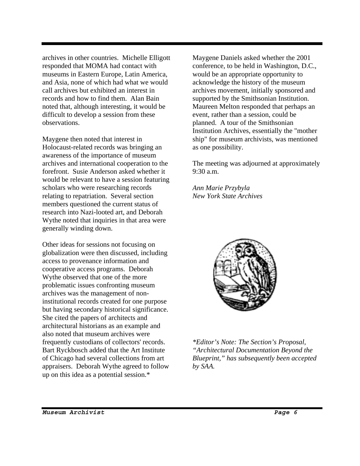archives in other countries. Michelle Elligott responded that MOMA had contact with museums in Eastern Europe, Latin America, and Asia, none of which had what we would call archives but exhibited an interest in records and how to find them. Alan Bain noted that, although interesting, it would be difficult to develop a session from these observations.

Maygene then noted that interest in Holocaust-related records was bringing an awareness of the importance of museum archives and international cooperation to the forefront. Susie Anderson asked whether it would be relevant to have a session featuring scholars who were researching records relating to repatriation. Several section members questioned the current status of research into Nazi-looted art, and Deborah Wythe noted that inquiries in that area were generally winding down.

Other ideas for sessions not focusing on globalization were then discussed, including access to provenance information and cooperative access programs. Deborah Wythe observed that one of the more problematic issues confronting museum archives was the management of noninstitutional records created for one purpose but having secondary historical significance. She cited the papers of architects and architectural historians as an example and also noted that museum archives were frequently custodians of collectors' records. Bart Ryckbosch added that the Art Institute of Chicago had several collections from art appraisers. Deborah Wythe agreed to follow up on this idea as a potential session.\*

Maygene Daniels asked whether the 2001 conference, to be held in Washington, D.C., would be an appropriate opportunity to acknowledge the history of the museum archives movement, initially sponsored and supported by the Smithsonian Institution. Maureen Melton responded that perhaps an event, rather than a session, could be planned. A tour of the Smithsonian Institution Archives, essentially the "mother ship" for museum archivists, was mentioned as one possibility.

The meeting was adjourned at approximately 9:30 a.m.

*Ann Marie Przybyla New York State Archives* 



*\*Editor's Note: The Section's Proposal, "Architectural Documentation Beyond the Blueprint," has subsequently been accepted by SAA.*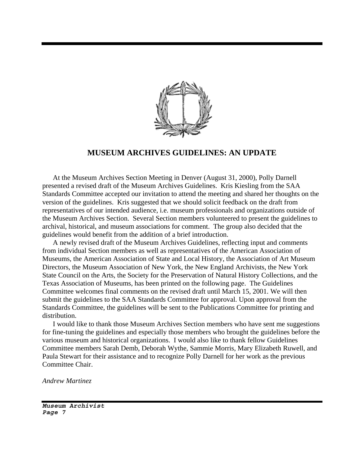

#### **MUSEUM ARCHIVES GUIDELINES: AN UPDATE**

At the Museum Archives Section Meeting in Denver (August 31, 2000), Polly Darnell presented a revised draft of the Museum Archives Guidelines. Kris Kiesling from the SAA Standards Committee accepted our invitation to attend the meeting and shared her thoughts on the version of the guidelines. Kris suggested that we should solicit feedback on the draft from representatives of our intended audience, i.e. museum professionals and organizations outside of the Museum Archives Section. Several Section members volunteered to present the guidelines to archival, historical, and museum associations for comment. The group also decided that the guidelines would benefit from the addition of a brief introduction.

A newly revised draft of the Museum Archives Guidelines, reflecting input and comments from individual Section members as well as representatives of the American Association of Museums, the American Association of State and Local History, the Association of Art Museum Directors, the Museum Association of New York, the New England Archivists, the New York State Council on the Arts, the Society for the Preservation of Natural History Collections, and the Texas Association of Museums, has been printed on the following page. The Guidelines Committee welcomes final comments on the revised draft until March 15, 2001. We will then submit the guidelines to the SAA Standards Committee for approval. Upon approval from the Standards Committee, the guidelines will be sent to the Publications Committee for printing and distribution.

I would like to thank those Museum Archives Section members who have sent me suggestions for fine-tuning the guidelines and especially those members who brought the guidelines before the various museum and historical organizations. I would also like to thank fellow Guidelines Committee members Sarah Demb, Deborah Wythe, Sammie Morris, Mary Elizabeth Ruwell, and Paula Stewart for their assistance and to recognize Polly Darnell for her work as the previous Committee Chair.

*Andrew Martinez*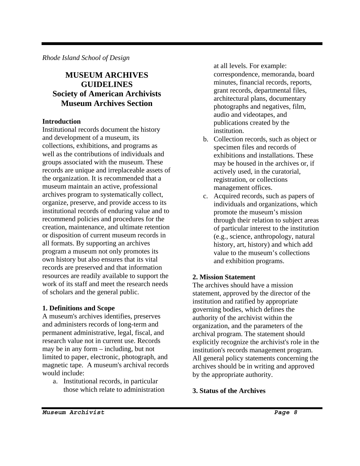*Rhode Island School of Design*

## **MUSEUM ARCHIVES GUIDELINES Society of American Archivists Museum Archives Section**

#### **Introduction**

Institutional records document the history and development of a museum, its collections, exhibitions, and programs as well as the contributions of individuals and groups associated with the museum. These records are unique and irreplaceable assets of the organization. It is recommended that a museum maintain an active, professional archives program to systematically collect, organize, preserve, and provide access to its institutional records of enduring value and to recommend policies and procedures for the creation, maintenance, and ultimate retention or disposition of current museum records in all formats. By supporting an archives program a museum not only promotes its own history but also ensures that its vital records are preserved and that information resources are readily available to support the work of its staff and meet the research needs of scholars and the general public.

#### **1. Definitions and Scope**

A museum's archives identifies, preserves and administers records of long-term and permanent administrative, legal, fiscal, and research value not in current use. Records may be in any form – including, but not limited to paper, electronic, photograph, and magnetic tape. A museum's archival records would include:

a. Institutional records, in particular those which relate to administration at all levels. For example: correspondence, memoranda, board minutes, financial records, reports, grant records, departmental files, architectural plans, documentary photographs and negatives, film, audio and videotapes, and publications created by the institution.

- b. Collection records, such as object or specimen files and records of exhibitions and installations. These may be housed in the archives or, if actively used, in the curatorial, registration, or collections management offices.
- c. Acquired records, such as papers of individuals and organizations, which promote the museum's mission through their relation to subject areas of particular interest to the institution (e.g., science, anthropology, natural history, art, history) and which add value to the museum's collections and exhibition programs.

#### **2. Mission Statement**

The archives should have a mission statement, approved by the director of the institution and ratified by appropriate governing bodies, which defines the authority of the archivist within the organization, and the parameters of the archival program. The statement should explicitly recognize the archivist's role in the institution's records management program. All general policy statements concerning the archives should be in writing and approved by the appropriate authority.

#### **3. Status of the Archives**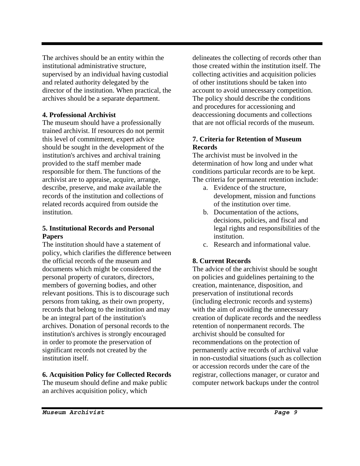The archives should be an entity within the institutional administrative structure, supervised by an individual having custodial and related authority delegated by the director of the institution. When practical, the archives should be a separate department.

#### **4. Professional Archivist**

The museum should have a professionally trained archivist. If resources do not permit this level of commitment, expert advice should be sought in the development of the institution's archives and archival training provided to the staff member made responsible for them. The functions of the archivist are to appraise, acquire, arrange, describe, preserve, and make available the records of the institution and collections of related records acquired from outside the institution.

#### **5. Institutional Records and Personal Papers**

The institution should have a statement of policy, which clarifies the difference between the official records of the museum and documents which might be considered the personal property of curators, directors, members of governing bodies, and other relevant positions. This is to discourage such persons from taking, as their own property, records that belong to the institution and may be an integral part of the institution's archives. Donation of personal records to the institution's archives is strongly encouraged in order to promote the preservation of significant records not created by the institution itself.

#### **6. Acquisition Policy for Collected Records**

The museum should define and make public an archives acquisition policy, which

delineates the collecting of records other than those created within the institution itself. The collecting activities and acquisition policies of other institutions should be taken into account to avoid unnecessary competition. The policy should describe the conditions and procedures for accessioning and deaccessioning documents and collections that are not official records of the museum.

#### **7. Criteria for Retention of Museum Records**

The archivist must be involved in the determination of how long and under what conditions particular records are to be kept. The criteria for permanent retention include:

- a. Evidence of the structure, development, mission and functions of the institution over time.
- b. Documentation of the actions, decisions, policies, and fiscal and legal rights and responsibilities of the institution.
- c. Research and informational value.

#### **8. Current Records**

The advice of the archivist should be sought on policies and guidelines pertaining to the creation, maintenance, disposition, and preservation of institutional records (including electronic records and systems) with the aim of avoiding the unnecessary creation of duplicate records and the needless retention of nonpermanent records. The archivist should be consulted for recommendations on the protection of permanently active records of archival value in non-custodial situations (such as collection or accession records under the care of the registrar, collections manager, or curator and computer network backups under the control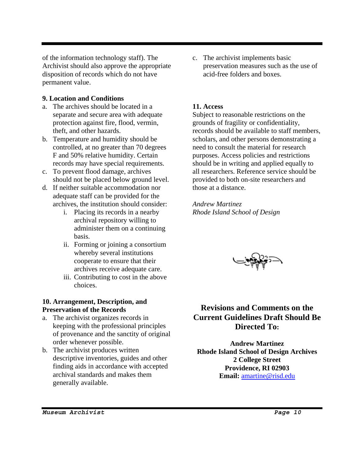of the information technology staff). The Archivist should also approve the appropriate disposition of records which do not have permanent value.

#### **9. Location and Conditions**

- a. The archives should be located in a separate and secure area with adequate protection against fire, flood, vermin, theft, and other hazards.
- b. Temperature and humidity should be controlled, at no greater than 70 degrees F and 50% relative humidity. Certain records may have special requirements.
- c. To prevent flood damage, archives should not be placed below ground level.
- d. If neither suitable accommodation nor adequate staff can be provided for the archives, the institution should consider:
	- i. Placing its records in a nearby archival repository willing to administer them on a continuing basis.
	- ii. Forming or joining a consortium whereby several institutions cooperate to ensure that their archives receive adequate care.
	- iii. Contributing to cost in the above choices.

#### **10. Arrangement, Description, and Preservation of the Records**

- a. The archivist organizes records in keeping with the professional principles of provenance and the sanctity of original order whenever possible.
- b. The archivist produces written descriptive inventories, guides and other finding aids in accordance with accepted archival standards and makes them generally available.

c. The archivist implements basic preservation measures such as the use of acid-free folders and boxes.

#### **11. Access**

Subject to reasonable restrictions on the grounds of fragility or confidentiality, records should be available to staff members, scholars, and other persons demonstrating a need to consult the material for research purposes. Access policies and restrictions should be in writing and applied equally to all researchers. Reference service should be provided to both on-site researchers and those at a distance.

*Andrew Martinez Rhode Island School of Design* 

## **Revisions and Comments on the Current Guidelines Draft Should Be Directed To:**

**Andrew Martinez Rhode Island School of Design Archives 2 College Street Providence, RI 02903 Email:** amartine@risd.edu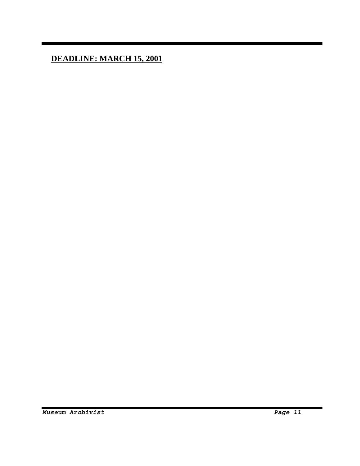**DEADLINE: MARCH 15, 2001**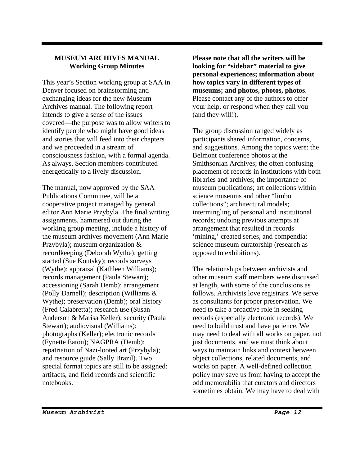#### **MUSEUM ARCHIVES MANUAL Working Group Minutes**

This year's Section working group at SAA in Denver focused on brainstorming and exchanging ideas for the new Museum Archives manual. The following report intends to give a sense of the issues covered—the purpose was to allow writers to identify people who might have good ideas and stories that will feed into their chapters and we proceeded in a stream of consciousness fashion, with a formal agenda. As always, Section members contributed energetically to a lively discussion.

The manual, now approved by the SAA Publications Committee, will be a cooperative project managed by general editor Ann Marie Przybyla. The final writing assignments, hammered out during the working group meeting, include a history of the museum archives movement (Ann Marie Przybyla); museum organization & recordkeeping (Deborah Wythe); getting started (Sue Koutsky); records surveys (Wythe); appraisal (Kathleen Williams); records management (Paula Stewart); accessioning (Sarah Demb); arrangement (Polly Darnell); description (Williams & Wythe); preservation (Demb); oral history (Fred Calabretta); research use (Susan Anderson & Marisa Keller); security (Paula Stewart); audiovisual (Williams); photographs (Keller); electronic records (Fynette Eaton); NAGPRA (Demb); repatriation of Nazi-looted art (Przybyla); and resource guide (Sally Brazil). Two special format topics are still to be assigned: artifacts, and field records and scientific notebooks.

**Please note that all the writers will be looking for "sidebar" material to give personal experiences; information about how topics vary in different types of museums; and photos, photos, photos**. Please contact any of the authors to offer your help, or respond when they call you (and they will!).

The group discussion ranged widely as participants shared information, concerns, and suggestions. Among the topics were: the Belmont conference photos at the Smithsonian Archives; the often confusing placement of records in institutions with both libraries and archives; the importance of museum publications; art collections within science museums and other "limbo collections"; architectural models; intermingling of personal and institutional records; undoing previous attempts at arrangement that resulted in records 'mining,' created series, and compendia; science museum curatorship (research as opposed to exhibitions).

The relationships between archivists and other museum staff members were discussed at length, with some of the conclusions as follows. Archivists love registrars. We serve as consultants for proper preservation. We need to take a proactive role in seeking records (especially electronic records). We need to build trust and have patience. We may need to deal with all works on paper, not just documents, and we must think about ways to maintain links and context between object collections, related documents, and works on paper. A well-defined collection policy may save us from having to accept the odd memorabilia that curators and directors sometimes obtain. We may have to deal with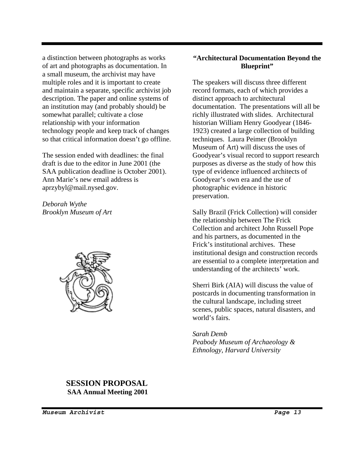a distinction between photographs as works of art and photographs as documentation. In a small museum, the archivist may have multiple roles and it is important to create and maintain a separate, specific archivist job description. The paper and online systems of an institution may (and probably should) be somewhat parallel; cultivate a close relationship with your information technology people and keep track of changes so that critical information doesn't go offline.

The session ended with deadlines: the final draft is due to the editor in June 2001 (the SAA publication deadline is October 2001). Ann Marie's new email address is aprzybyl@mail.nysed.gov.

*Deborah Wythe Brooklyn Museum of Art* 



#### **"Architectural Documentation Beyond the Blueprint"**

The speakers will discuss three different record formats, each of which provides a distinct approach to architectural documentation. The presentations will all be richly illustrated with slides. Architectural historian William Henry Goodyear (1846- 1923) created a large collection of building techniques. Laura Peimer (Brooklyn Museum of Art) will discuss the uses of Goodyear's visual record to support research purposes as diverse as the study of how this type of evidence influenced architects of Goodyear's own era and the use of photographic evidence in historic preservation.

Sally Brazil (Frick Collection) will consider the relationship between The Frick Collection and architect John Russell Pope and his partners, as documented in the Frick's institutional archives. These institutional design and construction records are essential to a complete interpretation and understanding of the architects' work.

Sherri Birk (AIA) will discuss the value of postcards in documenting transformation in the cultural landscape, including street scenes, public spaces, natural disasters, and world's fairs.

*Sarah Demb Peabody Museum of Archaeology & Ethnology, Harvard University* 

#### **SESSION PROPOSAL SAA Annual Meeting 2001**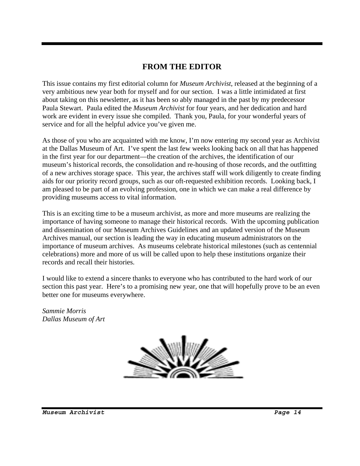## **FROM THE EDITOR**

This issue contains my first editorial column for *Museum Archivist*, released at the beginning of a very ambitious new year both for myself and for our section. I was a little intimidated at first about taking on this newsletter, as it has been so ably managed in the past by my predecessor Paula Stewart. Paula edited the *Museum Archivist* for four years, and her dedication and hard work are evident in every issue she compiled. Thank you, Paula, for your wonderful years of service and for all the helpful advice you've given me.

As those of you who are acquainted with me know, I'm now entering my second year as Archivist at the Dallas Museum of Art. I've spent the last few weeks looking back on all that has happened in the first year for our department—the creation of the archives, the identification of our museum's historical records, the consolidation and re-housing of those records, and the outfitting of a new archives storage space. This year, the archives staff will work diligently to create finding aids for our priority record groups, such as our oft-requested exhibition records. Looking back, I am pleased to be part of an evolving profession, one in which we can make a real difference by providing museums access to vital information.

This is an exciting time to be a museum archivist, as more and more museums are realizing the importance of having someone to manage their historical records. With the upcoming publication and dissemination of our Museum Archives Guidelines and an updated version of the Museum Archives manual, our section is leading the way in educating museum administrators on the importance of museum archives. As museums celebrate historical milestones (such as centennial celebrations) more and more of us will be called upon to help these institutions organize their records and recall their histories.

I would like to extend a sincere thanks to everyone who has contributed to the hard work of our section this past year. Here's to a promising new year, one that will hopefully prove to be an even better one for museums everywhere.

*Sammie Morris Dallas Museum of Art*

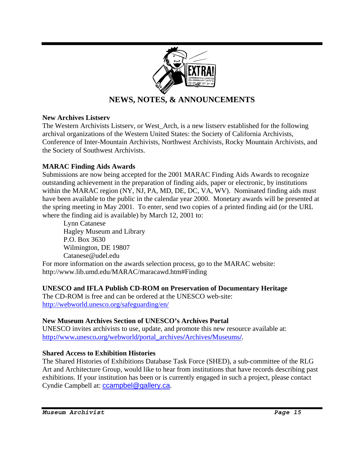

## **NEWS, NOTES, & ANNOUNCEMENTS**

#### **New Archives Listserv**

The Western Archivists Listserv, or West\_Arch, is a new listserv established for the following archival organizations of the Western United States: the Society of California Archivists, Conference of Inter-Mountain Archivists, Northwest Archivists, Rocky Mountain Archivists, and the Society of Southwest Archivists.

#### **MARAC Finding Aids Awards**

Submissions are now being accepted for the 2001 MARAC Finding Aids Awards to recognize outstanding achievement in the preparation of finding aids, paper or electronic, by institutions within the MARAC region (NY, NJ, PA, MD, DE, DC, VA, WV). Nominated finding aids must have been available to the public in the calendar year 2000. Monetary awards will be presented at the spring meeting in May 2001. To enter, send two copies of a printed finding aid (or the URL where the finding aid is available) by March 12, 2001 to:

 Lynn Catanese Hagley Museum and Library P.O. Box 3630 Wilmington, DE 19807 Catanese@udel.edu

For more information on the awards selection process, go to the MARAC website: http://www.lib.umd.edu/MARAC/maracawd.htm#Finding

#### **UNESCO and IFLA Publish CD-ROM on Preservation of Documentary Heritage**

The CD-ROM is free and can be ordered at the UNESCO web-site: http://webworld.unesco.org/safeguarding/en/

#### **New Museum Archives Section of UNESCO's Archives Portal**

UNESCO invites archivists to use, update, and promote this new resource available at: http**://**www**.**unesco**.**org**/**webworld**/**portal**\_**archives**/**Archives**/**Museums**/**.

#### **Shared Access to Exhibition Histories**

The Shared Histories of Exhibitions Database Task Force (SHED), a sub-committee of the RLG Art and Architecture Group, would like to hear from institutions that have records describing past exhibitions. If your institution has been or is currently engaged in such a project, please contact Cyndie Campbell at: ccampbel@gallery.ca.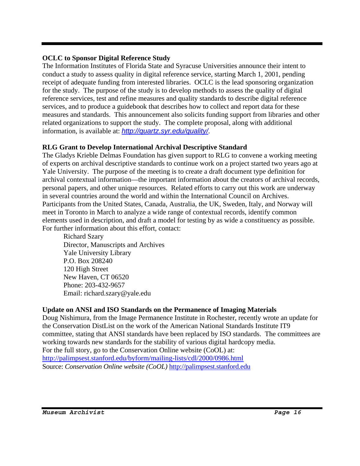#### **OCLC to Sponsor Digital Reference Study**

The Information Institutes of Florida State and Syracuse Universities announce their intent to conduct a study to assess quality in digital reference service, starting March 1, 2001, pending receipt of adequate funding from interested libraries. OCLC is the lead sponsoring organization for the study. The purpose of the study is to develop methods to assess the quality of digital reference services, test and refine measures and quality standards to describe digital reference services, and to produce a guidebook that describes how to collect and report data for these measures and standards. This announcement also solicits funding support from libraries and other related organizations to support the study. The complete proposal, along with additional information, is available at: *http://quartz.syr.edu/quality/*.

### **RLG Grant to Develop International Archival Descriptive Standard**

The Gladys Krieble Delmas Foundation has given support to RLG to convene a working meeting of experts on archival descriptive standards to continue work on a project started two years ago at Yale University. The purpose of the meeting is to create a draft document type definition for archival contextual information—the important information about the creators of archival records, personal papers, and other unique resources. Related efforts to carry out this work are underway in several countries around the world and within the International Council on Archives. Participants from the United States, Canada, Australia, the UK, Sweden, Italy, and Norway will meet in Toronto in March to analyze a wide range of contextual records, identify common elements used in description, and draft a model for testing by as wide a constituency as possible. For further information about this effort, contact:

 Richard Szary Director, Manuscripts and Archives Yale University Library P.O. Box 208240 120 High Street New Haven, CT 06520 Phone: 203-432-9657 Email: richard.szary@yale.edu

### **Update on ANSI and ISO Standards on the Permanence of Imaging Materials**

Doug Nishimura, from the Image Permanence Institute in Rochester, recently wrote an update for the Conservation DistList on the work of the American National Standards Institute IT9 committee, stating that ANSI standards have been replaced by ISO standards. The committees are working towards new standards for the stability of various digital hardcopy media. For the full story, go to the Conservation Online website (CoOL) at: http://palimpsest.stanford.edu/byform/mailing-lists/cdl/2000/0986.html Source: *Conservation Online website (CoOL)* http://palimpsest.stanford.edu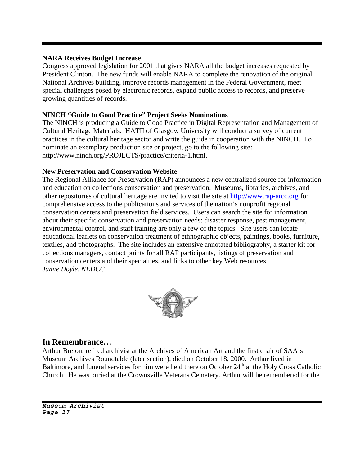#### **NARA Receives Budget Increase**

Congress approved legislation for 2001 that gives NARA all the budget increases requested by President Clinton. The new funds will enable NARA to complete the renovation of the original National Archives building, improve records management in the Federal Government, meet special challenges posed by electronic records, expand public access to records, and preserve growing quantities of records.

#### **NINCH "Guide to Good Practice" Project Seeks Nominations**

The NINCH is producing a Guide to Good Practice in Digital Representation and Management of Cultural Heritage Materials. HATII of Glasgow University will conduct a survey of current practices in the cultural heritage sector and write the guide in cooperation with the NINCH. To nominate an exemplary production site or project, go to the following site: http://www.ninch.org/PROJECTS/practice/criteria-1.html.

#### **New Preservation and Conservation Website**

The Regional Alliance for Preservation (RAP) announces a new centralized source for information and education on collections conservation and preservation. Museums, libraries, archives, and other repositories of cultural heritage are invited to visit the site at http://www.rap-arcc.org for comprehensive access to the publications and services of the nation's nonprofit regional conservation centers and preservation field services. Users can search the site for information about their specific conservation and preservation needs: disaster response, pest management, environmental control, and staff training are only a few of the topics. Site users can locate educational leaflets on conservation treatment of ethnographic objects, paintings, books, furniture, textiles, and photographs. The site includes an extensive annotated bibliography, a starter kit for collections managers, contact points for all RAP participants, listings of preservation and conservation centers and their specialties, and links to other key Web resources. *Jamie Doyle, NEDCC* 



### **In Remembrance…**

Arthur Breton, retired archivist at the Archives of American Art and the first chair of SAA's Museum Archives Roundtable (later section), died on October 18, 2000. Arthur lived in Baltimore, and funeral services for him were held there on October  $24<sup>th</sup>$  at the Holy Cross Catholic Church. He was buried at the Crownsville Veterans Cemetery. Arthur will be remembered for the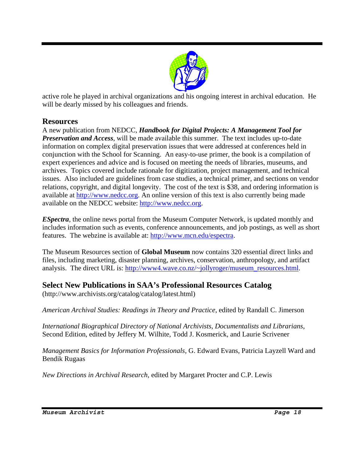

active role he played in archival organizations and his ongoing interest in archival education. He will be dearly missed by his colleagues and friends.

## **Resources**

A new publication from NEDCC, *Handbook for Digital Projects: A Management Tool for Preservation and Access*, will be made available this summer. The text includes up-to-date information on complex digital preservation issues that were addressed at conferences held in conjunction with the School for Scanning. An easy-to-use primer, the book is a compilation of expert experiences and advice and is focused on meeting the needs of libraries, museums, and archives. Topics covered include rationale for digitization, project management, and technical issues. Also included are guidelines from case studies, a technical primer, and sections on vendor relations, copyright, and digital longevity. The cost of the text is \$38, and ordering information is available at http://www.nedcc.org. An online version of this text is also currently being made available on the NEDCC website: http://www.nedcc.org.

*ESpectra*, the online news portal from the Museum Computer Network, is updated monthly and includes information such as events, conference announcements, and job postings, as well as short features. The webzine is available at: http://www.mcn.edu/espectra.

The Museum Resources section of **Global Museum** now contains 320 essential direct links and files, including marketing, disaster planning, archives, conservation, anthropology, and artifact analysis. The direct URL is: http://www4.wave.co.nz/~jollyroger/museum\_resources.html.

## **Select New Publications in SAA's Professional Resources Catalog**

(http://www.archivists.org/catalog/catalog/latest.html)

*American Archival Studies: Readings in Theory and Practice*, edited by Randall C. Jimerson

*International Biographical Directory of National Archivists, Documentalists and Librarians*, Second Edition, edited by Jeffery M. Wilhite, Todd J. Kosmerick, and Laurie Scrivener

*Management Basics for Information Professionals*, G. Edward Evans, Patricia Layzell Ward and Bendik Rugaas

*New Directions in Archival Research*, edited by Margaret Procter and C.P. Lewis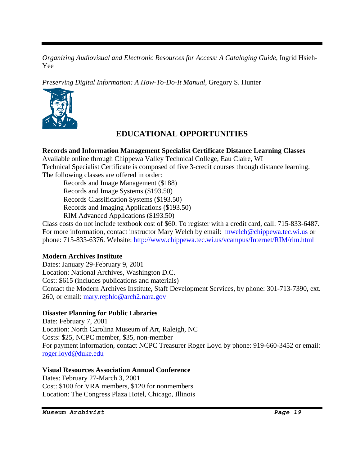*Organizing Audiovisual and Electronic Resources for Access: A Cataloging Guide*, Ingrid Hsieh-Yee

*Preserving Digital Information: A How-To-Do-It Manual*, Gregory S. Hunter



## **EDUCATIONAL OPPORTUNITIES**

#### **Records and Information Management Specialist Certificate Distance Learning Classes**

Available online through Chippewa Valley Technical College, Eau Claire, WI Technical Specialist Certificate is composed of five 3-credit courses through distance learning. The following classes are offered in order:

 Records and Image Management (\$188) Records and Image Systems (\$193.50) Records Classification Systems (\$193.50) Records and Imaging Applications (\$193.50) RIM Advanced Applications (\$193.50)

Class costs do not include textbook cost of \$60. To register with a credit card, call: 715-833-6487. For more information, contact instructor Mary Welch by email: mwelch@chippewa.tec.wi.us or phone: 715-833-6376. Website: http://www.chippewa.tec.wi.us/vcampus/Internet/RIM/rim.html

#### **Modern Archives Institute**

Dates: January 29-February 9, 2001 Location: National Archives, Washington D.C. Cost: \$615 (includes publications and materials) Contact the Modern Archives Institute, Staff Development Services, by phone: 301-713-7390, ext. 260, or email: mary.rephlo@arch2.nara.gov

#### **Disaster Planning for Public Libraries**

Date: February 7, 2001 Location: North Carolina Museum of Art, Raleigh, NC Costs: \$25, NCPC member, \$35, non-member For payment information, contact NCPC Treasurer Roger Loyd by phone: 919-660-3452 or email: roger.loyd@duke.edu

#### **Visual Resources Association Annual Conference**

Dates: February 27-March 3, 2001 Cost: \$100 for VRA members, \$120 for nonmembers Location: The Congress Plaza Hotel, Chicago, Illinois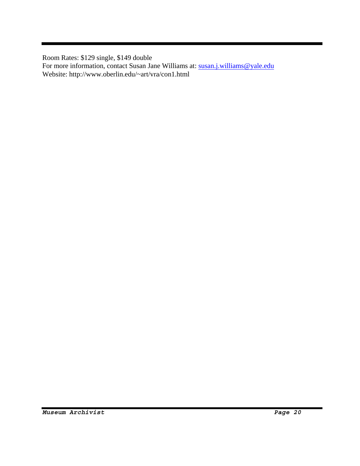Room Rates: \$129 single, \$149 double

For more information, contact Susan Jane Williams at: susan.j.williams@yale.edu Website: http://www.oberlin.edu/~art/vra/con1.html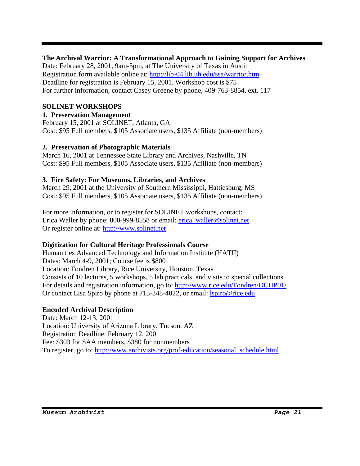#### **The Archival Warrior: A Transformational Approach to Gaining Support for Archives**

Date: February 28, 2001, 9am-5pm, at The University of Texas in Austin Registration form available online at: http://lib-04.lib.uh.edu/ssa/warrior.htm Deadline for registration is February 15, 2001. Workshop cost is \$75 For further information, contact Casey Greene by phone, 409-763-8854, ext. 117

#### **SOLINET WORKSHOPS**

#### **1. Preservation Management**

February 15, 2001 at SOLINET, Atlanta, GA Cost: \$95 Full members, \$105 Associate users, \$135 Affiliate (non-members)

#### **2. Preservation of Photographic Materials**

March 16, 2001 at Tennessee State Library and Archives, Nashville, TN Cost: \$95 Full members, \$105 Associate users, \$135 Affiliate (non-members)

#### **3. Fire Safety: For Museums, Libraries, and Archives**

March 29, 2001 at the University of Southern Mississippi, Hattiesburg, MS Cost: \$95 Full members, \$105 Associate users, \$135 Affiliate (non-members)

For more information, or to register for SOLINET workshops, contact: Erica Waller by phone: 800-999-8558 or email: erica\_waller@solinet.net Or register online at: http://www.solinet.net

### **Digitization for Cultural Heritage Professionals Course**

Humanities Advanced Technology and Information Institute (HATII) Dates: March 4-9, 2001; Course fee is \$800 Location: Fondren Library, Rice University, Houston, Texas Consists of 10 lectures, 5 workshops, 5 lab practicals, and visits to special collections For details and registration information, go to: http://www.rice.edu/Fondren/DCHP01/ Or contact Lisa Spiro by phone at 713-348-4022, or email: *spiro@rice.edu* 

### **Encoded Archival Description**

Date: March 12-13, 2001 Location: University of Arizona Library, Tucson, AZ Registration Deadline: February 12, 2001 Fee: \$303 for SAA members, \$380 for nonmembers To register, go to: http://www.archivists.org/prof-education/seasonal\_schedule.html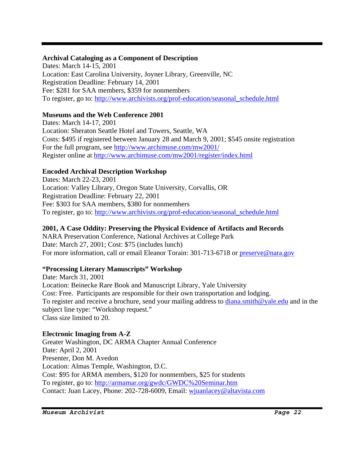#### **Archival Cataloging as a Component of Description**

Dates: March 14-15, 2001 Location: East Carolina University, Joyner Library, Greenville, NC Registration Deadline: February 14, 2001 Fee: \$281 for SAA members, \$359 for nonmembers To register, go to: http://www.archivists.org/prof-education/seasonal\_schedule.html

### **Museums and the Web Conference 2001**

Dates: March 14-17, 2001 Location: Sheraton Seattle Hotel and Towers, Seattle, WA Costs: \$495 if registered between January 28 and March 9, 2001; \$545 onsite registration For the full program, see http://www.archimuse.com/mw2001/ Register online at http://www.archimuse.com/mw2001/register/index.html

## **Encoded Archival Description Workshop**

Dates: March 22-23, 2001 Location: Valley Library, Oregon State University, Corvallis, OR Registration Deadline: February 22, 2001 Fee: \$303 for SAA members, \$380 for nonmembers To register, go to: http://www.archivists.org/prof-education/seasonal\_schedule.html

### **2001, A Case Oddity: Preserving the Physical Evidence of Artifacts and Records**

NARA Preservation Conference, National Archives at College Park Date: March 27, 2001; Cost: \$75 (includes lunch) For more information, call or email Eleanor Torain: 301-713-6718 or preserve@nara.gov

## **"Processing Literary Manuscripts" Workshop**

Date: March 31, 2001 Location: Beinecke Rare Book and Manuscript Library, Yale University Cost: Free. Participants are responsible for their own transportation and lodging. To register and receive a brochure, send your mailing address to diana.smith@yale.edu and in the subject line type: "Workshop request." Class size limited to 20.

### **Electronic Imaging from A-Z**

Greater Washington, DC ARMA Chapter Annual Conference Date: April 2, 2001 Presenter, Don M. Avedon Location: Almas Temple, Washington, D.C. Cost: \$95 for ARMA members, \$120 for nonmembers, \$25 for students To register, go to: http://armamar.org/gwdc/GWDC%20Seminar.htm Contact: Juan Lacey, Phone: 202-728-6009, Email: wjuanlacey@altavista.com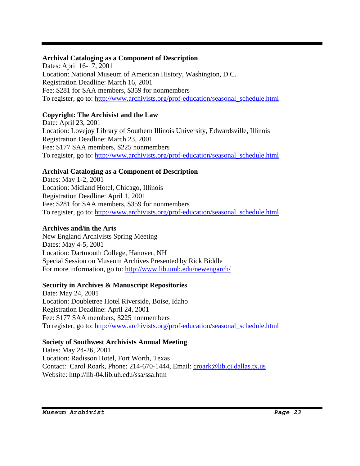#### **Archival Cataloging as a Component of Description**

Dates: April 16-17, 2001 Location: National Museum of American History, Washington, D.C. Registration Deadline: March 16, 2001 Fee: \$281 for SAA members, \$359 for nonmembers To register, go to: http://www.archivists.org/prof-education/seasonal\_schedule.html

### **Copyright: The Archivist and the Law**

Date: April 23, 2001 Location: Lovejoy Library of Southern Illinois University, Edwardsville, Illinois Registration Deadline: March 23, 2001 Fee: \$177 SAA members, \$225 nonmembers To register, go to: http://www.archivists.org/prof-education/seasonal\_schedule.html

#### **Archival Cataloging as a Component of Description**

Dates: May 1-2, 2001 Location: Midland Hotel, Chicago, Illinois Registration Deadline: April 1, 2001 Fee: \$281 for SAA members, \$359 for nonmembers To register, go to: http://www.archivists.org/prof-education/seasonal\_schedule.html

#### **Archives and/in the Arts**

New England Archivists Spring Meeting Dates: May 4-5, 2001 Location: Dartmouth College, Hanover, NH Special Session on Museum Archives Presented by Rick Biddle For more information, go to: http://www.lib.umb.edu/newengarch/

#### **Security in Archives & Manuscript Repositories**

Date: May 24, 2001 Location: Doubletree Hotel Riverside, Boise, Idaho Registration Deadline: April 24, 2001 Fee: \$177 SAA members, \$225 nonmembers To register, go to: http://www.archivists.org/prof-education/seasonal\_schedule.html

### **Society of Southwest Archivists Annual Meeting**

Dates: May 24-26, 2001 Location: Radisson Hotel, Fort Worth, Texas Contact: Carol Roark, Phone: 214-670-1444, Email: croark@lib.ci.dallas.tx.us Website: http://lib-04.lib.uh.edu/ssa/ssa.htm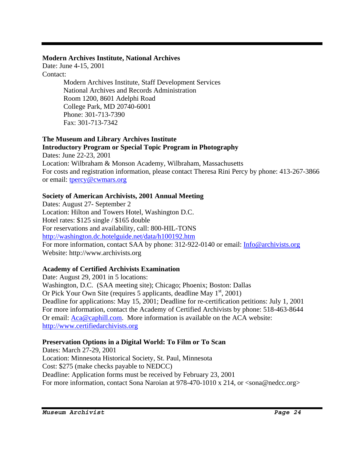#### **Modern Archives Institute, National Archives**

Date: June 4-15, 2001 Contact:

 Modern Archives Institute, Staff Development Services National Archives and Records Administration Room 1200, 8601 Adelphi Road College Park, MD 20740-6001 Phone: 301-713-7390 Fax: 301-713-7342

#### **The Museum and Library Archives Institute Introductory Program or Special Topic Program in Photography**

Dates: June 22-23, 2001 Location: Wilbraham & Monson Academy, Wilbraham, Massachusetts For costs and registration information, please contact Theresa Rini Percy by phone: 413-267-3866 or email: tpercy@cwmars.org

### **Society of American Archivists, 2001 Annual Meeting**

Dates: August 27- September 2 Location: Hilton and Towers Hotel, Washington D.C. Hotel rates: \$125 single / \$165 double For reservations and availability, call: 800-HIL-TONS http://washington.dc.hotelguide.net/data/h100192.htm For more information, contact SAA by phone: 312-922-0140 or email: Info@archivists.org Website: http://www.archivists.org

### **Academy of Certified Archivists Examination**

Date: August 29, 2001 in 5 locations: Washington, D.C. (SAA meeting site); Chicago; Phoenix; Boston: Dallas Or Pick Your Own Site (requires 5 applicants, deadline May  $1<sup>st</sup>$ , 2001) Deadline for applications: May 15, 2001; Deadline for re-certification petitions: July 1, 2001 For more information, contact the Academy of Certified Archivists by phone: 518-463-8644 Or email: Aca@caphill.com. More information is available on the ACA website: http://www.certifiedarchivists.org

### **Preservation Options in a Digital World: To Film or To Scan**

Dates: March 27-29, 2001 Location: Minnesota Historical Society, St. Paul, Minnesota Cost: \$275 (make checks payable to NEDCC) Deadline: Application forms must be received by February 23, 2001 For more information, contact Sona Naroian at 978-470-1010 x 214, or  $\langle \text{sona}\,\emptyset \text{nedcc.org} \rangle$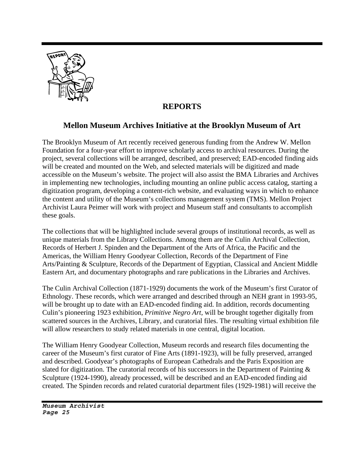

## **REPORTS**

## **Mellon Museum Archives Initiative at the Brooklyn Museum of Art**

The Brooklyn Museum of Art recently received generous funding from the Andrew W. Mellon Foundation for a four-year effort to improve scholarly access to archival resources. During the project, several collections will be arranged, described, and preserved; EAD-encoded finding aids will be created and mounted on the Web, and selected materials will be digitized and made accessible on the Museum's website. The project will also assist the BMA Libraries and Archives in implementing new technologies, including mounting an online public access catalog, starting a digitization program, developing a content-rich website, and evaluating ways in which to enhance the content and utility of the Museum's collections management system (TMS). Mellon Project Archivist Laura Peimer will work with project and Museum staff and consultants to accomplish these goals.

The collections that will be highlighted include several groups of institutional records, as well as unique materials from the Library Collections. Among them are the Culin Archival Collection, Records of Herbert J. Spinden and the Department of the Arts of Africa, the Pacific and the Americas, the William Henry Goodyear Collection, Records of the Department of Fine Arts/Painting & Sculpture, Records of the Department of Egyptian, Classical and Ancient Middle Eastern Art, and documentary photographs and rare publications in the Libraries and Archives.

The Culin Archival Collection (1871-1929) documents the work of the Museum's first Curator of Ethnology. These records, which were arranged and described through an NEH grant in 1993-95, will be brought up to date with an EAD-encoded finding aid. In addition, records documenting Culin's pioneering 1923 exhibition, *Primitive Negro Art*, will be brought together digitally from scattered sources in the Archives, Library, and curatorial files. The resulting virtual exhibition file will allow researchers to study related materials in one central, digital location.

The William Henry Goodyear Collection, Museum records and research files documenting the career of the Museum's first curator of Fine Arts (1891-1923), will be fully preserved, arranged and described. Goodyear's photographs of European Cathedrals and the Paris Exposition are slated for digitization. The curatorial records of his successors in the Department of Painting & Sculpture (1924-1990), already processed, will be described and an EAD-encoded finding aid created. The Spinden records and related curatorial department files (1929-1981) will receive the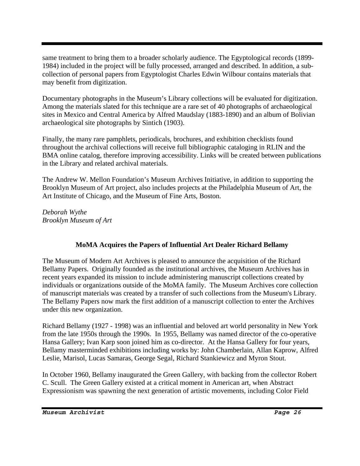same treatment to bring them to a broader scholarly audience. The Egyptological records (1899- 1984) included in the project will be fully processed, arranged and described. In addition, a subcollection of personal papers from Egyptologist Charles Edwin Wilbour contains materials that may benefit from digitization.

Documentary photographs in the Museum's Library collections will be evaluated for digitization. Among the materials slated for this technique are a rare set of 40 photographs of archaeological sites in Mexico and Central America by Alfred Maudslay (1883-1890) and an album of Bolivian archaeological site photographs by Sintich (1903).

Finally, the many rare pamphlets, periodicals, brochures, and exhibition checklists found throughout the archival collections will receive full bibliographic cataloging in RLIN and the BMA online catalog, therefore improving accessibility. Links will be created between publications in the Library and related archival materials.

The Andrew W. Mellon Foundation's Museum Archives Initiative, in addition to supporting the Brooklyn Museum of Art project, also includes projects at the Philadelphia Museum of Art, the Art Institute of Chicago, and the Museum of Fine Arts, Boston.

*Deborah Wythe Brooklyn Museum of Art* 

### **MoMA Acquires the Papers of Influential Art Dealer Richard Bellamy**

The Museum of Modern Art Archives is pleased to announce the acquisition of the Richard Bellamy Papers. Originally founded as the institutional archives, the Museum Archives has in recent years expanded its mission to include administering manuscript collections created by individuals or organizations outside of the MoMA family. The Museum Archives core collection of manuscript materials was created by a transfer of such collections from the Museum's Library. The Bellamy Papers now mark the first addition of a manuscript collection to enter the Archives under this new organization.

Richard Bellamy (1927 - 1998) was an influential and beloved art world personality in New York from the late 1950s through the 1990s. In 1955, Bellamy was named director of the co-operative Hansa Gallery; Ivan Karp soon joined him as co-director. At the Hansa Gallery for four years, Bellamy masterminded exhibitions including works by: John Chamberlain, Allan Kaprow, Alfred Leslie, Marisol, Lucas Samaras, George Segal, Richard Stankiewicz and Myron Stout.

In October 1960, Bellamy inaugurated the Green Gallery, with backing from the collector Robert C. Scull. The Green Gallery existed at a critical moment in American art, when Abstract Expressionism was spawning the next generation of artistic movements, including Color Field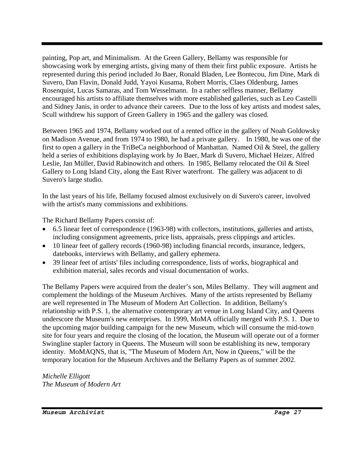painting, Pop art, and Minimalism. At the Green Gallery, Bellamy was responsible for showcasing work by emerging artists, giving many of them their first public exposure. Artists he represented during this period included Jo Baer, Ronald Bladen, Lee Bontecou, Jim Dine, Mark di Suvero, Dan Flavin, Donald Judd, Yayoi Kusama, Robert Morris, Claes Oldenburg, James Rosenquist, Lucas Samaras, and Tom Wesselmann. In a rather selfless manner, Bellamy encouraged his artists to affiliate themselves with more established galleries, such as Leo Castelli and Sidney Janis, in order to advance their careers. Due to the loss of key artists and modest sales, Scull withdrew his support of Green Gallery in 1965 and the gallery was closed.

Between 1965 and 1974, Bellamy worked out of a rented office in the gallery of Noah Goldowsky on Madison Avenue, and from 1974 to 1980, he had a private gallery. In 1980, he was one of the first to open a gallery in the TriBeCa neighborhood of Manhattan. Named Oil & Steel, the gallery held a series of exhibitions displaying work by Jo Baer, Mark di Suvero, Michael Heizer, Alfred Leslie, Jan Müller, David Rabinowitch and others. In 1985, Bellamy relocated the Oil & Steel Gallery to Long Island City, along the East River waterfront. The gallery was adjacent to di Suvero's large studio.

In the last years of his life, Bellamy focused almost exclusively on di Suvero's career, involved with the artist's many commissions and exhibitions.

The Richard Bellamy Papers consist of:

- 6.5 linear feet of correspondence (1963-98) with collectors, institutions, galleries and artists, including consignment agreements, price lists, appraisals, press clippings and articles.
- 10 linear feet of gallery records (1960-98) including financial records, insurance, ledgers, datebooks, interviews with Bellamy, and gallery ephemera.
- 39 linear feet of artists' files including correspondence, lists of works, biographical and exhibition material, sales records and visual documentation of works.

The Bellamy Papers were acquired from the dealer's son, Miles Bellamy. They will augment and complement the holdings of the Museum Archives. Many of the artists represented by Bellamy are well represented in The Museum of Modern Art Collection. In addition, Bellamy's relationship with P.S. 1, the alternative contemporary art venue in Long Island City, and Queens underscore the Museum's new enterprises. In 1999, MoMA officially merged with P.S. 1. Due to the upcoming major building campaign for the new Museum, which will consume the mid-town site for four years and require the closing of the location, the Museum will operate out of a former Swingline stapler factory in Queens. The Museum will soon be establishing its new, temporary identity. MoMAQNS, that is, "The Museum of Modern Art, Now in Queens," will be the temporary location for the Museum Archives and the Bellamy Papers as of summer 2002.

*Michelle Elligott The Museum of Modern Art*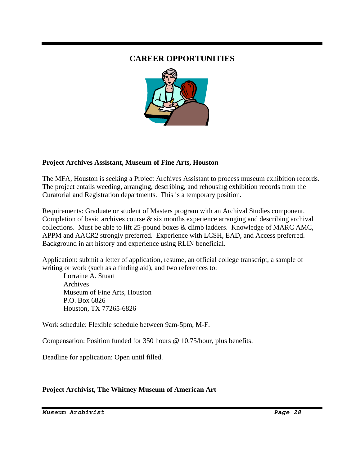## **CAREER OPPORTUNITIES**



#### **Project Archives Assistant, Museum of Fine Arts, Houston**

The MFA, Houston is seeking a Project Archives Assistant to process museum exhibition records. The project entails weeding, arranging, describing, and rehousing exhibition records from the Curatorial and Registration departments. This is a temporary position.

Requirements: Graduate or student of Masters program with an Archival Studies component. Completion of basic archives course  $\&$  six months experience arranging and describing archival collections. Must be able to lift 25-pound boxes & climb ladders. Knowledge of MARC AMC, APPM and AACR2 strongly preferred. Experience with LCSH, EAD, and Access preferred. Background in art history and experience using RLIN beneficial.

Application: submit a letter of application, resume, an official college transcript, a sample of writing or work (such as a finding aid), and two references to:

 Lorraine A. Stuart Archives Museum of Fine Arts, Houston P.O. Box 6826 Houston, TX 77265-6826

Work schedule: Flexible schedule between 9am-5pm, M-F.

Compensation: Position funded for 350 hours @ 10.75/hour, plus benefits.

Deadline for application: Open until filled.

#### **Project Archivist, The Whitney Museum of American Art**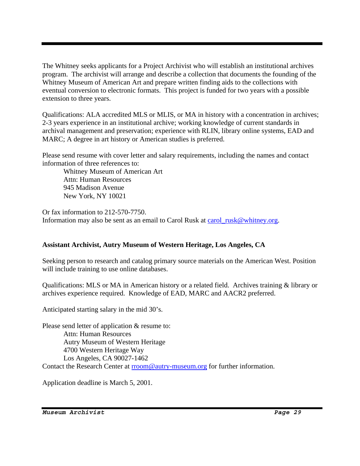The Whitney seeks applicants for a Project Archivist who will establish an institutional archives program. The archivist will arrange and describe a collection that documents the founding of the Whitney Museum of American Art and prepare written finding aids to the collections with eventual conversion to electronic formats. This project is funded for two years with a possible extension to three years.

Qualifications: ALA accredited MLS or MLIS, or MA in history with a concentration in archives; 2-3 years experience in an institutional archive; working knowledge of current standards in archival management and preservation; experience with RLIN, library online systems, EAD and MARC; A degree in art history or American studies is preferred.

Please send resume with cover letter and salary requirements, including the names and contact information of three references to:

 Whitney Museum of American Art Attn: Human Resources 945 Madison Avenue New York, NY 10021

Or fax information to 212-570-7750. Information may also be sent as an email to Carol Rusk at carol\_rusk@whitney.org.

#### **Assistant Archivist, Autry Museum of Western Heritage, Los Angeles, CA**

Seeking person to research and catalog primary source materials on the American West. Position will include training to use online databases.

Qualifications: MLS or MA in American history or a related field. Archives training & library or archives experience required. Knowledge of EAD, MARC and AACR2 preferred.

Anticipated starting salary in the mid 30's.

Please send letter of application & resume to: Attn: Human Resources Autry Museum of Western Heritage 4700 Western Heritage Way Los Angeles, CA 90027-1462 Contact the Research Center at rroom@autry-museum.org for further information.

Application deadline is March 5, 2001.

*Museum Archivist Page 29*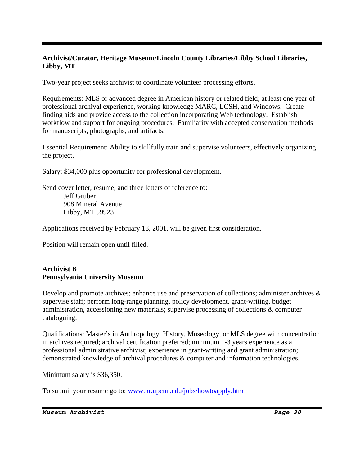#### **Archivist/Curator, Heritage Museum/Lincoln County Libraries/Libby School Libraries, Libby, MT**

Two-year project seeks archivist to coordinate volunteer processing efforts.

Requirements: MLS or advanced degree in American history or related field; at least one year of professional archival experience, working knowledge MARC, LCSH, and Windows. Create finding aids and provide access to the collection incorporating Web technology. Establish workflow and support for ongoing procedures. Familiarity with accepted conservation methods for manuscripts, photographs, and artifacts.

Essential Requirement: Ability to skillfully train and supervise volunteers, effectively organizing the project.

Salary: \$34,000 plus opportunity for professional development.

Send cover letter, resume, and three letters of reference to: Jeff Gruber 908 Mineral Avenue Libby, MT 59923

Applications received by February 18, 2001, will be given first consideration.

Position will remain open until filled.

#### **Archivist B Pennsylvania University Museum**

Develop and promote archives; enhance use and preservation of collections; administer archives & supervise staff; perform long-range planning, policy development, grant-writing, budget administration, accessioning new materials; supervise processing of collections & computer cataloguing.

Qualifications: Master's in Anthropology, History, Museology, or MLS degree with concentration in archives required; archival certification preferred; minimum 1-3 years experience as a professional administrative archivist; experience in grant-writing and grant administration; demonstrated knowledge of archival procedures & computer and information technologies.

Minimum salary is \$36,350.

To submit your resume go to: www.hr.upenn.edu/jobs/howtoapply.htm